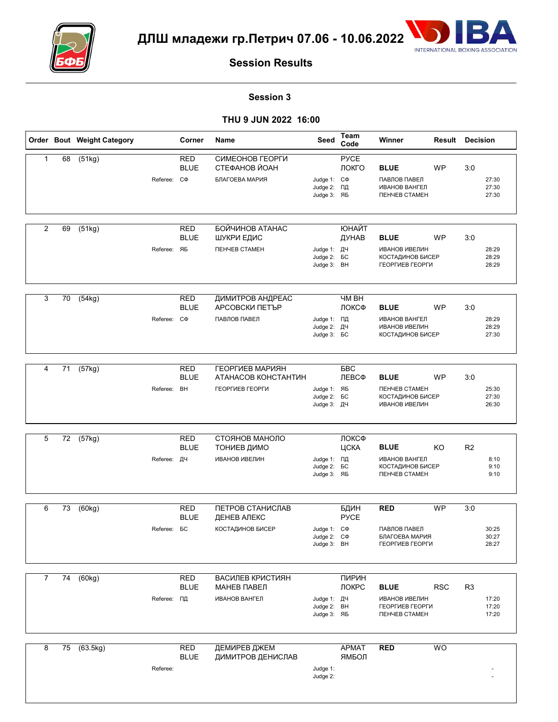



# **Session Results**

#### **Session 3**

## **THU 9 JUN 2022 16:00**

|                |    | Order Bout Weight Category   | Corner                                         | Name                                                         | Seed                                                 | <b>Team</b><br>Code   | Winner                                                                                        |            | <b>Result Decision</b> |                         |
|----------------|----|------------------------------|------------------------------------------------|--------------------------------------------------------------|------------------------------------------------------|-----------------------|-----------------------------------------------------------------------------------------------|------------|------------------------|-------------------------|
| $\mathbf{1}$   | 68 | (51kg)                       | <b>RED</b><br><b>BLUE</b><br>Referee: C $\Phi$ | СИМЕОНОВ ГЕОРГИ<br>СТЕФАНОВ ЙОАН<br>БЛАГОЕВА МАРИЯ           | Judge 1: C $\Phi$<br>Judge 2: ПД<br>Judge 3: ЯБ      | <b>PYCE</b><br>ЛОКГО  | <b>BLUE</b><br>ПАВЛОВ ПАВЕЛ<br><b>ИВАНОВ ВАНГЕЛ</b><br><b><i>ΠΕΗΥΕΒ CTAMEH</i></b>            | <b>WP</b>  | 3:0                    | 27:30<br>27:30<br>27:30 |
| $\overline{2}$ | 69 | (51kg)<br>Referee: ЯБ        | <b>RED</b><br><b>BLUE</b>                      | БОЙЧИНОВ АТАНАС<br>ШУКРИ ЕДИС<br><b><i>ΠΕΗΥΕΒ CTAMEH</i></b> | Judge 1: ДЧ<br>Judge 2: <b>BC</b><br>Judge 3: BH     | <b>ЮНАЙТ</b><br>ДУНАВ | <b>BLUE</b><br><b>ИВАНОВ ИВЕЛИН</b><br>КОСТАДИНОВ БИСЕР<br>ГЕОРГИЕВ ГЕОРГИ                    | WP         | 3:0                    | 28:29<br>28:29<br>28:29 |
| 3              | 70 | (54kg)                       | <b>RED</b><br><b>BLUE</b><br>Referee: C $\Phi$ | ДИМИТРОВ АНДРЕАС<br>АРСОВСКИ ПЕТЪР<br>ПАВЛОВ ПАВЕЛ           | Judge 1: ПД<br>Judge 2: ДЧ<br>Judge 3: <b>BC</b>     | <b>HM BH</b><br>ЛОКСФ | <b>BLUE</b><br><b>ИВАНОВ ВАНГЕЛ</b><br>ИВАНОВ ИВЕЛИН<br>КОСТАДИНОВ БИСЕР                      | <b>WP</b>  | 3:0                    | 28:29<br>28:29<br>27:30 |
| 4              | 71 | (57kg)<br>Referee:           | <b>RED</b><br><b>BLUE</b><br>BH                | ГЕОРГИЕВ МАРИЯН<br>АТАНАСОВ КОНСТАНТИН<br>ГЕОРГИЕВ ГЕОРГИ    | Judge 1: ЯБ<br>Judge 2: <b>BC</b><br>Judge 3: ДЧ     | <b>BBC</b><br>ЛЕВСФ   | <b>BLUE</b><br><b><i>ΠΕΗΥΕΒ CTAMEH</i></b><br><b>КОСТАДИНОВ БИСЕР</b><br><b>ИВАНОВ ИВЕЛИН</b> | WP         | 3:0                    | 25:30<br>27:30<br>26:30 |
| 5              | 72 | (57kg)<br>Referee:           | <b>RED</b><br><b>BLUE</b><br>ДЧ                | СТОЯНОВ МАНОЛО<br>ТОНИЕВ ДИМО<br><b>ИВАНОВ ИВЕЛИН</b>        | Judge 1: ПД<br>Judge 2: <b>6C</b><br>Judge 3: ЯБ     | ЛОКСФ<br>ЦСКА         | <b>BLUE</b><br><b>ИВАНОВ ВАНГЕЛ</b><br>КОСТАДИНОВ БИСЕР<br><b><i><u>TEHYEB CTAMEH</u></i></b> | KO         | R <sub>2</sub>         | 8:10<br>9:10<br>9:10    |
| 6              | 73 | (60kg)<br>Referee: <b>BC</b> | <b>RED</b><br><b>BLUE</b>                      | ПЕТРОВ СТАНИСЛАВ<br>ДЕНЕВ АЛЕКС<br><b>КОСТАДИНОВ БИСЕР</b>   | Judge 1: C $\Phi$<br>Judge 2: $C\Phi$<br>Judge 3: BH | БДИН<br><b>PYCE</b>   | <b>RED</b><br>ПАВЛОВ ПАВЕЛ<br>БЛАГОЕВА МАРИЯ<br>ГЕОРГИЕВ ГЕОРГИ                               | <b>WP</b>  | 3:0                    | 30:25<br>30:27<br>28:27 |
| $\overline{7}$ | 74 | (60kg)<br>Referee: ПД        | <b>RED</b><br><b>BLUE</b>                      | ВАСИЛЕВ КРИСТИЯН<br>МАНЕВ ПАВЕЛ<br><b>ИВАНОВ ВАНГЕЛ</b>      | Judge 1: ДЧ<br>Judge 2: BH<br>Judge 3: ЯБ            | ПИРИН<br>ЛОКРС        | <b>BLUE</b><br>ИВАНОВ ИВЕЛИН<br>ГЕОРГИЕВ ГЕОРГИ<br><b><i><u>TEHYEB CTAMEH</u></i></b>         | <b>RSC</b> | R <sub>3</sub>         | 17:20<br>17:20<br>17:20 |
| 8              | 75 | (63.5kg)<br>Referee:         | <b>RED</b><br><b>BLUE</b>                      | ДЕМИРЕВ ДЖЕМ<br>ДИМИТРОВ ДЕНИСЛАВ                            | Judge 1:<br>Judge 2:                                 | <b>APMAT</b><br>ЯМБОЛ | <b>RED</b>                                                                                    | WO         |                        |                         |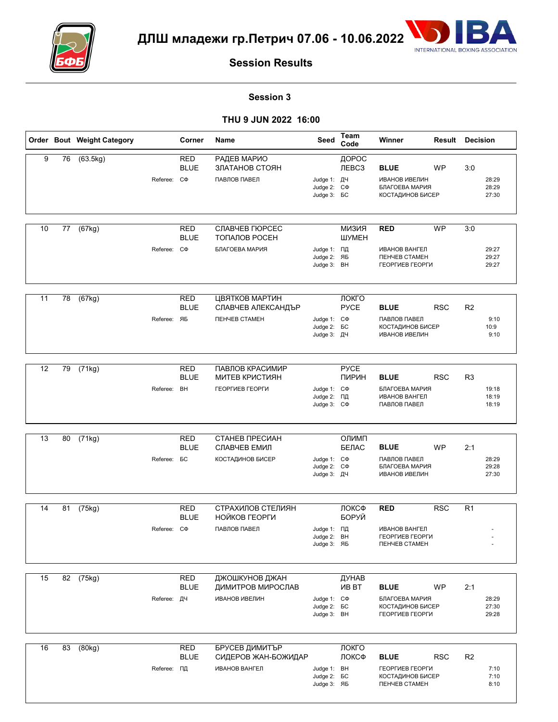



# **Session Results**

### **Session 3**

## **THU 9 JUN 2022 16:00**

|    |    | Order Bout Weight Category |                   | Corner                          | Name                                                                | Seed                                                   | Team<br>Code               | Winner                                                                                   |            | <b>Result Decision</b> |                         |
|----|----|----------------------------|-------------------|---------------------------------|---------------------------------------------------------------------|--------------------------------------------------------|----------------------------|------------------------------------------------------------------------------------------|------------|------------------------|-------------------------|
| 9  | 76 | $\overline{(63.5kg)}$      | Referee: C $\Phi$ | <b>RED</b><br><b>BLUE</b>       | РАДЕВ МАРИО<br>ЗЛАТАНОВ СТОЯН<br>ПАВЛОВ ПАВЕЛ                       | Judge 1: ДЧ<br>Judge 2: C $\Phi$<br>Judge 3: <b>BC</b> | ДОРОС<br>ЛEBC <sub>3</sub> | <b>BLUE</b><br><b>ИВАНОВ ИВЕЛИН</b><br>БЛАГОЕВА МАРИЯ<br><b>КОСТАДИНОВ БИСЕР</b>         | <b>WP</b>  | 3:0                    | 28:29<br>28:29<br>27:30 |
| 10 | 77 | (67kg)                     | Referee: C $\Phi$ | <b>RED</b><br><b>BLUE</b>       | СЛАВЧЕВ ГЮРСЕС<br>ТОПАЛОВ РОСЕН<br>БЛАГОЕВА МАРИЯ                   | Judge 1: ПД<br>Judge 2: ЯБ<br>Judge 3: BH              | <b>КИЗИЯ</b><br>ШУМЕН      | <b>RED</b><br>ИВАНОВ ВАНГЕЛ<br><b><i><u>TEHYEB CTAMEH</u></i></b><br>ГЕОРГИЕВ ГЕОРГИ     | <b>WP</b>  | 3:0                    | 29:27<br>29:27<br>29:27 |
| 11 | 78 | (67kg)                     | Referee: ЯБ       | <b>RED</b><br><b>BLUE</b>       | ЦВЯТКОВ МАРТИН<br>СЛАВЧЕВ АЛЕКСАНДЪР<br><b><i>ПЕНЧЕВ СТАМЕН</i></b> | Judge 1: C $\Phi$<br>Judge 2: <b>BC</b><br>Judge 3: ДЧ | ЛОКГО<br><b>PYCE</b>       | <b>BLUE</b><br>ПАВЛОВ ПАВЕЛ<br>КОСТАДИНОВ БИСЕР<br><b>ИВАНОВ ИВЕЛИН</b>                  | <b>RSC</b> | R <sub>2</sub>         | 9:10<br>10:9<br>9:10    |
| 12 | 79 | (71kg)                     | Referee:          | RED<br><b>BLUE</b><br>BH        | ПАВЛОВ КРАСИМИР<br><b>МИТЕВ КРИСТИЯН</b><br>ГЕОРГИЕВ ГЕОРГИ         | Judge 1: C $\Phi$<br>Judge 2: ПД<br>Judge 3: C $\Phi$  | <b>PYCE</b><br>ПИРИН       | <b>BLUE</b><br>БЛАГОЕВА МАРИЯ<br>ИВАНОВ ВАНГЕЛ<br>ПАВЛОВ ПАВЕЛ                           | <b>RSC</b> | R <sub>3</sub>         | 19:18<br>18:19<br>18:19 |
| 13 | 80 | (71kg)                     | Referee:          | <b>RED</b><br><b>BLUE</b><br>БC | СТАНЕВ ПРЕСИАН<br>СЛАВЧЕВ ЕМИЛ<br><b>КОСТАДИНОВ БИСЕР</b>           | Judge 1: C $\Phi$<br>Judge 2: C $\Phi$<br>Judge 3: ДЧ  | ОЛИМП<br>БЕЛАС             | <b>BLUE</b><br>ПАВЛОВ ПАВЕЛ<br>БЛАГОЕВА МАРИЯ<br><b>ИВАНОВ ИВЕЛИН</b>                    | <b>WP</b>  | 2:1                    | 28:29<br>29:28<br>27:30 |
| 14 | 81 | (75kg)                     | Referee: C $\Phi$ | <b>RED</b><br><b>BLUE</b>       | СТРАХИЛОВ СТЕЛИЯН<br>НОЙКОВ ГЕОРГИ<br>ПАВЛОВ ПАВЕЛ                  | Judge 1: ПД<br>Judge 2: BH<br>Judge 3: ЯБ              | ЛОКСФ<br>БОРУЙ             | <b>RED</b><br><b>ИВАНОВ ВАНГЕЛ</b><br>ГЕОРГИЕВ ГЕОРГИ<br><b><i>ΠΕΗΥΕΒ CTAMEH</i></b>     | <b>RSC</b> | R <sub>1</sub>         |                         |
| 15 |    | 82 (75kg)                  | Referee: ДЧ       | <b>RED</b><br><b>BLUE</b>       | ДЖОШКУНОВ ДЖАН<br>ДИМИТРОВ МИРОСЛАВ<br><b>ИВАНОВ ИВЕЛИН</b>         | Judge 1: C $\Phi$<br>Judge 2: <b>6C</b><br>Judge 3: BH | ДУНАВ<br><b>VIB BT</b>     | <b>BLUE</b><br>БЛАГОЕВА МАРИЯ<br><b>КОСТАДИНОВ БИСЕР</b><br>ГЕОРГИЕВ ГЕОРГИ              | WP         | 2:1                    | 28:29<br>27:30<br>29:28 |
| 16 | 83 | (80kg)                     | Referee: ПД       | <b>RED</b><br><b>BLUE</b>       | БРУСЕВ ДИМИТЪР<br>СИДЕРОВ ЖАН-БОЖИДАР<br><b>ИВАНОВ ВАНГЕЛ</b>       | Judge 1: BH<br>Judge 2: <b>BC</b><br>Judge 3: ЯБ       | ЛОКГО<br>ЛОКСФ             | <b>BLUE</b><br>ГЕОРГИЕВ ГЕОРГИ<br>КОСТАДИНОВ БИСЕР<br><b><i><u>TEHYEB CTAMEH</u></i></b> | <b>RSC</b> | R <sub>2</sub>         | 7:10<br>7:10<br>8:10    |